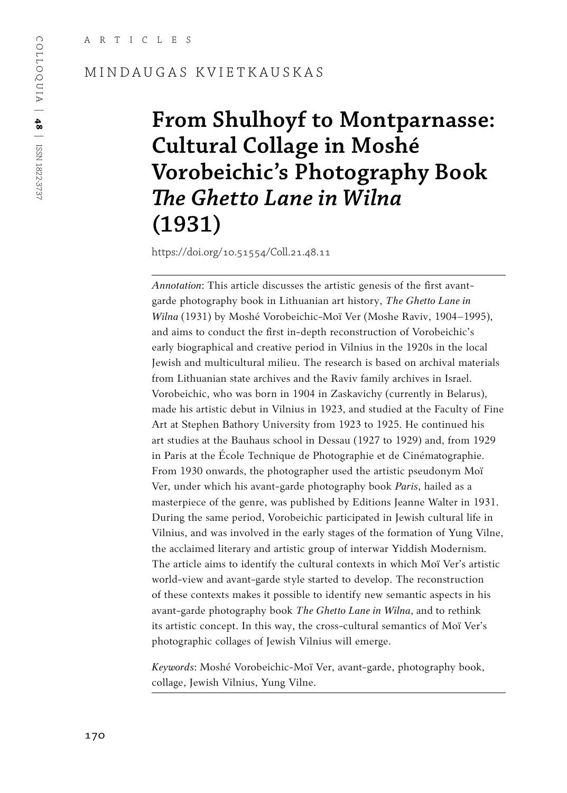#### MINDAUGAS KVIETKAUSKAS

# **From Shulhoyf to Montparnasse: Cultural Collage in Moshé Vorobeichic's Photography Book**  *The Ghetto Lane in Wilna* **(1931)**

https://doi.org/10.51554/Coll.21.48.11

*Annotation*: This article discusses the artistic genesis of the first avantgarde photography book in Lithuanian art history, *The Ghetto Lane in Wilna* (1931) by Moshé Vorobeichic-Moï Ver (Moshe Raviv, 1904–1995), and aims to conduct the first in-depth reconstruction of Vorobeichic's early biographical and creative period in Vilnius in the 1920s in the local Jewish and multicultural milieu. The research is based on archival materials from Lithuanian state archives and the Raviv family archives in Israel. Vorobeichic, who was born in 1904 in Zaskavichy (currently in Belarus), made his artistic debut in Vilnius in 1923, and studied at the Faculty of Fine Art at Stephen Bathory University from 1923 to 1925. He continued his art studies at the Bauhaus school in Dessau (1927 to 1929) and, from 1929 in Paris at the École Technique de Photographie et de Cinématographie. From 1930 onwards, the photographer used the artistic pseudonym Moï Ver, under which his avant-garde photography book *Paris*, hailed as a masterpiece of the genre, was published by Editions Jeanne Walter in 1931. During the same period, Vorobeichic participated in Jewish cultural life in Vilnius, and was involved in the early stages of the formation of Yung Vilne, the acclaimed literary and artistic group of interwar Yiddish Modernism*.* The article aims to identify the cultural contexts in which Moï Ver's artistic world-view and avant-garde style started to develop. The reconstruction of these contexts makes it possible to identify new semantic aspects in his avant-garde photography book *The Ghetto Lane in Wilna*, and to rethink its artistic concept. In this way, the cross-cultural semantics of Moï Ver's photographic collages of Jewish Vilnius will emerge.

*Keywords*: Moshé Vorobeichic-Moï Ver, avant-garde, photography book, collage, Jewish Vilnius, Yung Vilne.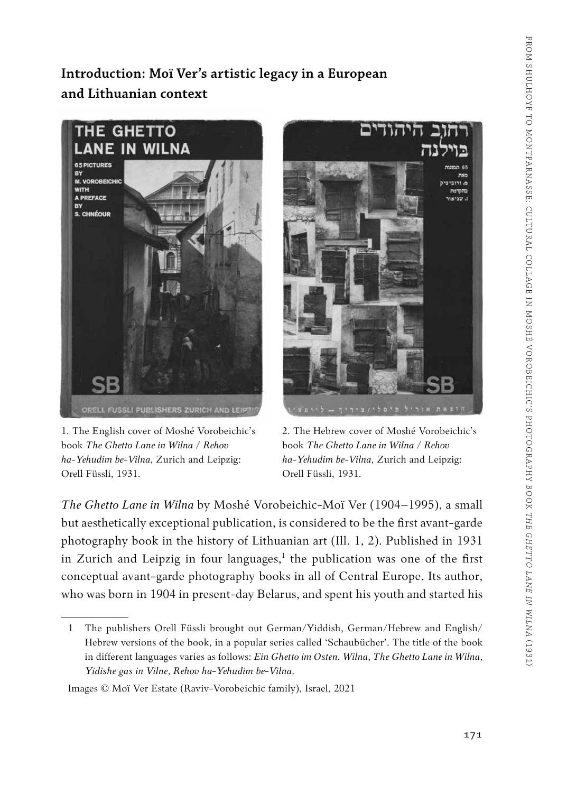### **Introduction: Moï Ver's artistic legacy in a European and Lithuanian context**



1. The English cover of Moshé Vorobeichic's book *The Ghetto Lane in Wilna / Rehov ha-Yehudim be-Vilna*, Zurich and Leipzig: Orell Füssli, 1931.



2. The Hebrew cover of Moshé Vorobeichic's book *The Ghetto Lane in Wilna / Rehov ha-Yehudim be-Vilna*, Zurich and Leipzig: Orell Füssli, 1931.

*The Ghetto Lane in Wilna* by Moshé Vorobeichic-Moï Ver (1904–1995), a small but aesthetically exceptional publication, is considered to be the first avant-garde photography book in the history of Lithuanian art (Ill. 1, 2). Published in 1931 in Zurich and Leipzig in four languages,<sup>1</sup> the publication was one of the first conceptual avant-garde photography books in all of Central Europe. Its author, who was born in 1904 in present-day Belarus, and spent his youth and started his

Images © Moï Ver Estate (Raviv-Vorobeichic family), Israel, 2021

<sup>1</sup> The publishers Orell Füssli brought out German/Yiddish, German/Hebrew and English/ Hebrew versions of the book, in a popular series called 'Schaubücher'. The title of the book in different languages varies as follows: *Ein Ghetto im Osten. Wilna*, *The Ghetto Lane in Wilna*, *Yidishe gas in Vilne*, *Rehov ha-Yehudim be-Vilna*.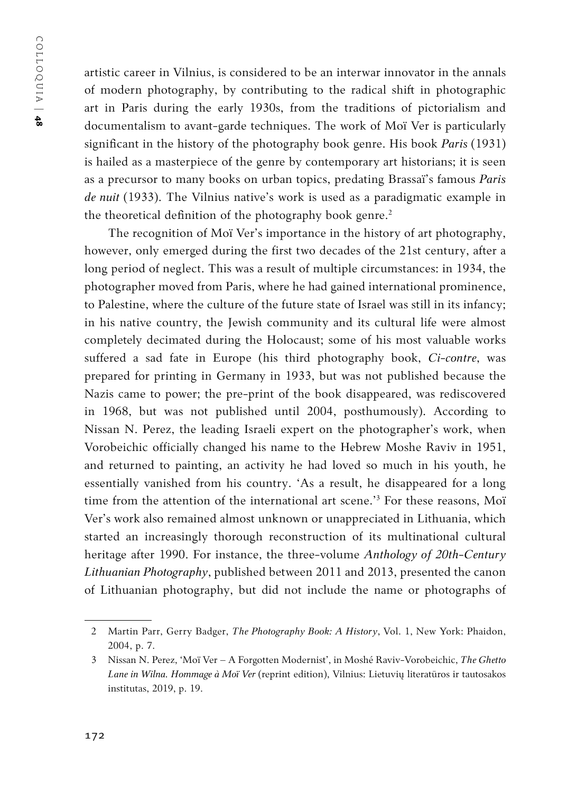COLLOQUIA | COLLOQUIA | 48

artistic career in Vilnius, is considered to be an interwar innovator in the annals of modern photography, by contributing to the radical shift in photographic art in Paris during the early 1930s, from the traditions of pictorialism and documentalism to avant-garde techniques. The work of Moï Ver is particularly significant in the history of the photography book genre. His book *Paris* (1931) is hailed as a masterpiece of the genre by contemporary art historians; it is seen as a precursor to many books on urban topics, predating Brassaï's famous *Paris de nuit* (1933). The Vilnius native's work is used as a paradigmatic example in the theoretical definition of the photography book genre.<sup>2</sup>

The recognition of Moï Ver's importance in the history of art photography, however, only emerged during the first two decades of the 21st century, after a long period of neglect. This was a result of multiple circumstances: in 1934, the photographer moved from Paris, where he had gained international prominence, to Palestine, where the culture of the future state of Israel was still in its infancy; in his native country, the Jewish community and its cultural life were almost completely decimated during the Holocaust; some of his most valuable works suffered a sad fate in Europe (his third photography book, *Ci-contre*, was prepared for printing in Germany in 1933, but was not published because the Nazis came to power; the pre-print of the book disappeared, was rediscovered in 1968, but was not published until 2004, posthumously). According to Nissan N. Perez, the leading Israeli expert on the photographer's work, when Vorobeichic officially changed his name to the Hebrew Moshe Raviv in 1951, and returned to painting, an activity he had loved so much in his youth, he essentially vanished from his country. 'As a result, he disappeared for a long time from the attention of the international art scene.'3 For these reasons, Moï Ver's work also remained almost unknown or unappreciated in Lithuania, which started an increasingly thorough reconstruction of its multinational cultural heritage after 1990. For instance, the three-volume *Anthology of 20th-Century Lithuanian Photography*, published between 2011 and 2013, presented the canon of Lithuanian photography, but did not include the name or photographs of

<sup>2</sup> Martin Parr, Gerry Badger, *The Photography Book: A History*, Vol. 1, New York: Phaidon, 2004, p. 7.

<sup>3</sup> Nissan N. Perez, 'Moï Ver – A Forgotten Modernist', in Moshé Raviv-Vorobeichic, *The Ghetto Lane in Wilna. Hommage à Moï Ver* (reprint edition), Vilnius: Lietuvių literatūros ir tautosakos institutas, 2019, p. 19.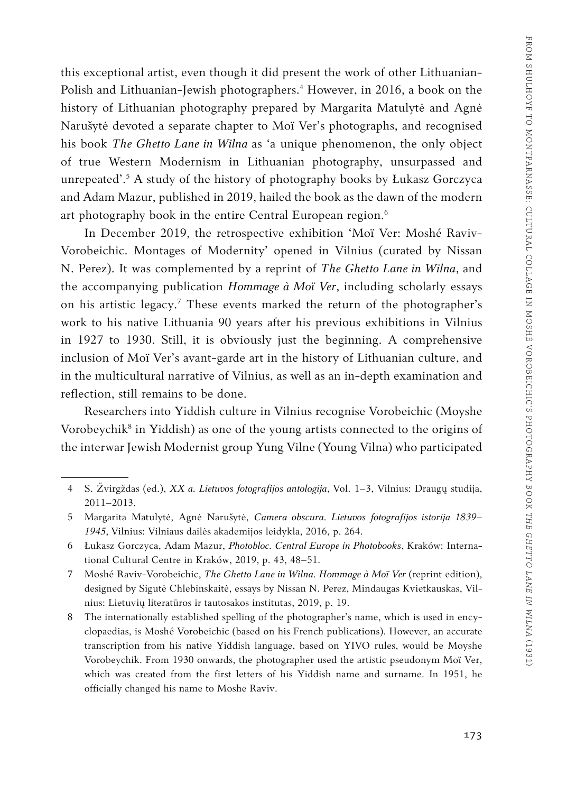this exceptional artist, even though it did present the work of other Lithuanian-Polish and Lithuanian-Jewish photographers.<sup>4</sup> However, in 2016, a book on the history of Lithuanian photography prepared by Margarita Matulytė and Agnė Narušytė devoted a separate chapter to Moï Ver's photographs, and recognised his book *The Ghetto Lane in Wilna* as 'a unique phenomenon, the only object of true Western Modernism in Lithuanian photography, unsurpassed and unrepeated'.<sup>5</sup> A study of the history of photography books by Łukasz Gorczyca and Adam Mazur, published in 2019, hailed the book as the dawn of the modern art photography book in the entire Central European region.<sup>6</sup>

In December 2019, the retrospective exhibition 'Moï Ver: Moshé Raviv-Vorobeichic. Montages of Modernity' opened in Vilnius (curated by Nissan N. Perez). It was complemented by a reprint of *The Ghetto Lane in Wilna*, and the accompanying publication *Hommage à Moï Ver*, including scholarly essays on his artistic legacy.7 These events marked the return of the photographer's work to his native Lithuania 90 years after his previous exhibitions in Vilnius in 1927 to 1930. Still, it is obviously just the beginning. A comprehensive inclusion of Moï Ver's avant-garde art in the history of Lithuanian culture, and in the multicultural narrative of Vilnius, as well as an in-depth examination and reflection, still remains to be done.

Researchers into Yiddish culture in Vilnius recognise Vorobeichic (Moyshe Vorobeychik8 in Yiddish) as one of the young artists connected to the origins of the interwar Jewish Modernist group Yung Vilne (Young Vilna) who participated

<sup>4</sup> S. Žvirgždas (ed.), *XX a. Lietuvos fotografijos antologija*, Vol. 1–3, Vilnius: Draugų studija, 2011–2013.

<sup>5</sup> Margarita Matulytė, Agnė Narušytė, *Camera obscura. Lietuvos fotografijos istorija 1839– 1945*, Vilnius: Vilniaus dailės akademijos leidykla, 2016, p. 264.

<sup>6</sup> Łukasz Gorczyca, Adam Mazur, *Photobloc. Central Europe in Photobooks*, Kraków: International Cultural Centre in Kraków, 2019, p. 43, 48–51.

<sup>7</sup> Moshé Raviv-Vorobeichic, *The Ghetto Lane in Wilna. Hommage à Moï Ver* (reprint edition), designed by Sigutė Chlebinskaitė, essays by Nissan N. Perez, Mindaugas Kvietkauskas, Vilnius: Lietuvių literatūros ir tautosakos institutas, 2019, p. 19.

<sup>8</sup> The internationally established spelling of the photographer's name, which is used in encyclopaedias, is Moshé Vorobeichic (based on his French publications). However, an accurate transcription from his native Yiddish language, based on YIVO rules, would be Moyshe Vorobeychik. From 1930 onwards, the photographer used the artistic pseudonym Moï Ver, which was created from the first letters of his Yiddish name and surname. In 1951, he officially changed his name to Moshe Raviv.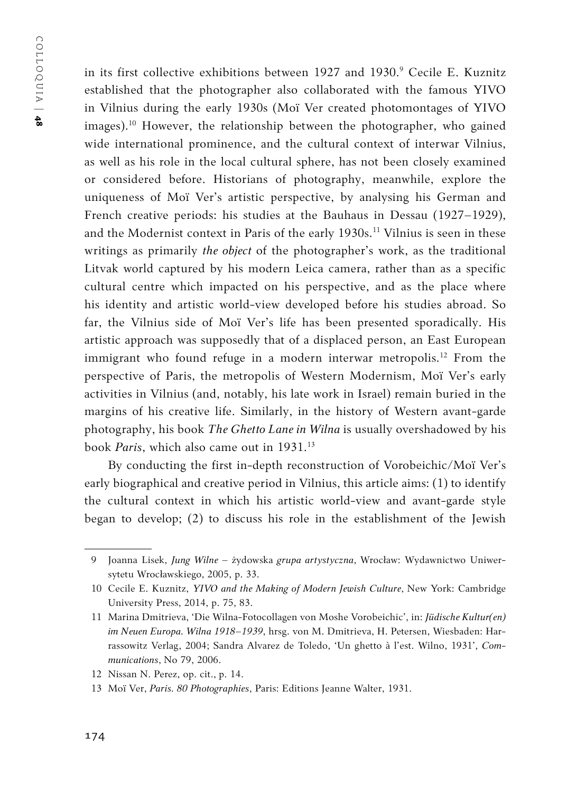in its first collective exhibitions between 1927 and 1930.9 Cecile E. Kuznitz established that the photographer also collaborated with the famous YIVO in Vilnius during the early 1930s (Moï Ver created photomontages of YIVO images).<sup>10</sup> However, the relationship between the photographer, who gained wide international prominence, and the cultural context of interwar Vilnius, as well as his role in the local cultural sphere, has not been closely examined or considered before. Historians of photography, meanwhile, explore the uniqueness of Moï Ver's artistic perspective, by analysing his German and French creative periods: his studies at the Bauhaus in Dessau (1927–1929), and the Modernist context in Paris of the early 1930s.<sup>11</sup> Vilnius is seen in these writings as primarily *the object* of the photographer's work, as the traditional Litvak world captured by his modern Leica camera, rather than as a specific cultural centre which impacted on his perspective, and as the place where his identity and artistic world-view developed before his studies abroad. So far, the Vilnius side of Moï Ver's life has been presented sporadically. His artistic approach was supposedly that of a displaced person, an East European immigrant who found refuge in a modern interwar metropolis.<sup>12</sup> From the perspective of Paris, the metropolis of Western Modernism, Moï Ver's early activities in Vilnius (and, notably, his late work in Israel) remain buried in the margins of his creative life. Similarly, in the history of Western avant-garde photography, his book *The Ghetto Lane in Wilna* is usually overshadowed by his book *Paris*, which also came out in 1931.<sup>13</sup>

By conducting the first in-depth reconstruction of Vorobeichic/Moï Ver's early biographical and creative period in Vilnius, this article aims: (1) to identify the cultural context in which his artistic world-view and avant-garde style began to develop; (2) to discuss his role in the establishment of the Jewish

<sup>9</sup> Joanna Lisek, *Jung Wilne –* żydowska *grupa artystyczna*, Wrocław: Wydawnictwo Uniwersytetu Wrocławskiego, 2005, p. 33.

<sup>10</sup> Cecile E. Kuznitz, *YIVO and the Making of Modern Jewish Culture*, New York: Cambridge University Press, 2014, p. 75, 83.

<sup>11</sup> Marina Dmitrieva, 'Die Wilna-Fotocollagen von Moshe Vorobeichic', in: *Jüdische Kultur(en) im Neuen Europa. Wilna 1918–1939*, hrsg. von M. Dmitrieva, H. Petersen, Wiesbaden: Harrassowitz Verlag, 2004; Sandra Alvarez de Toledo, 'Un ghetto à l'est. Wilno, 1931', *Communications*, No 79, 2006.

<sup>12</sup> Nissan N. Perez, op. cit., p. 14.

<sup>13</sup> Moï Ver, *Paris. 80 Photographies*, Paris: Editions Jeanne Walter, 1931.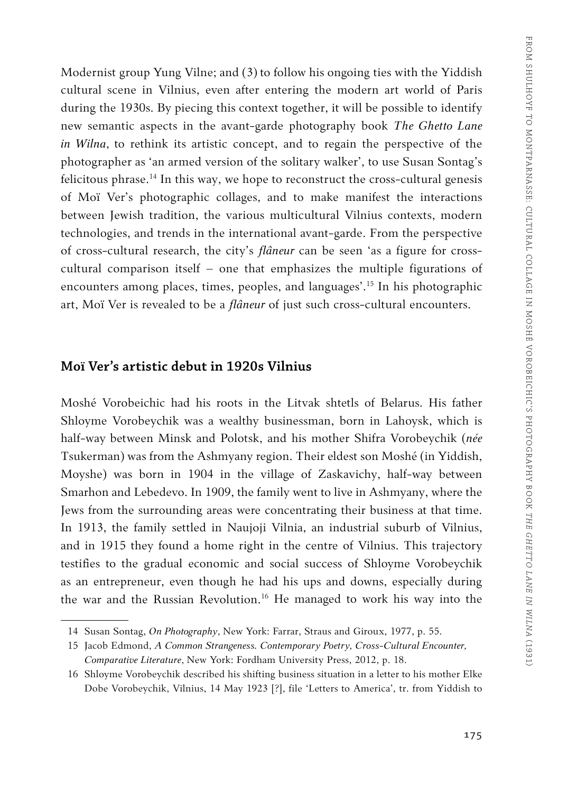Modernist group Yung Vilne; and (3) to follow his ongoing ties with the Yiddish cultural scene in Vilnius, even after entering the modern art world of Paris during the 1930s. By piecing this context together, it will be possible to identify new semantic aspects in the avant-garde photography book *The Ghetto Lane in Wilna*, to rethink its artistic concept, and to regain the perspective of the photographer as 'an armed version of the solitary walker', to use Susan Sontag's felicitous phrase.14 In this way, we hope to reconstruct the cross-cultural genesis of Moï Ver's photographic collages, and to make manifest the interactions between Jewish tradition, the various multicultural Vilnius contexts, modern technologies, and trends in the international avant-garde. From the perspective of cross-cultural research, the city's *flâneur* can be seen 'as a figure for crosscultural comparison itself – one that emphasizes the multiple figurations of encounters among places, times, peoples, and languages'.15 In his photographic art, Moï Ver is revealed to be a *flâneur* of just such cross-cultural encounters.

#### **Moï Ver's artistic debut in 1920s Vilnius**

Moshé Vorobeichic had his roots in the Litvak shtetls of Belarus. His father Shloyme Vorobeychik was a wealthy businessman, born in Lahoysk, which is half-way between Minsk and Polotsk, and his mother Shifra Vorobeychik (*née* Tsukerman) was from the Ashmyany region. Their eldest son Moshé (in Yiddish, Moyshe) was born in 1904 in the village of Zaskavichy, half-way between Smarhon and Lebedevo. In 1909, the family went to live in Ashmyany, where the Jews from the surrounding areas were concentrating their business at that time. In 1913, the family settled in Naujoji Vilnia, an industrial suburb of Vilnius, and in 1915 they found a home right in the centre of Vilnius. This trajectory testifies to the gradual economic and social success of Shloyme Vorobeychik as an entrepreneur, even though he had his ups and downs, especially during the war and the Russian Revolution.16 He managed to work his way into the

<sup>14</sup> Susan Sontag, *On Photography*, New York: Farrar, Straus and Giroux, 1977, p. 55.

<sup>15</sup> Jacob Edmond, *A Common Strangeness. Contemporary Poetry, Cross-Cultural Encounter, Comparative Literature*, New York: Fordham University Press, 2012, p. 18.

<sup>16</sup> Shloyme Vorobeychik described his shifting business situation in a letter to his mother Elke Dobe Vorobeychik, Vilnius, 14 May 1923 [?], file 'Letters to America', tr. from Yiddish to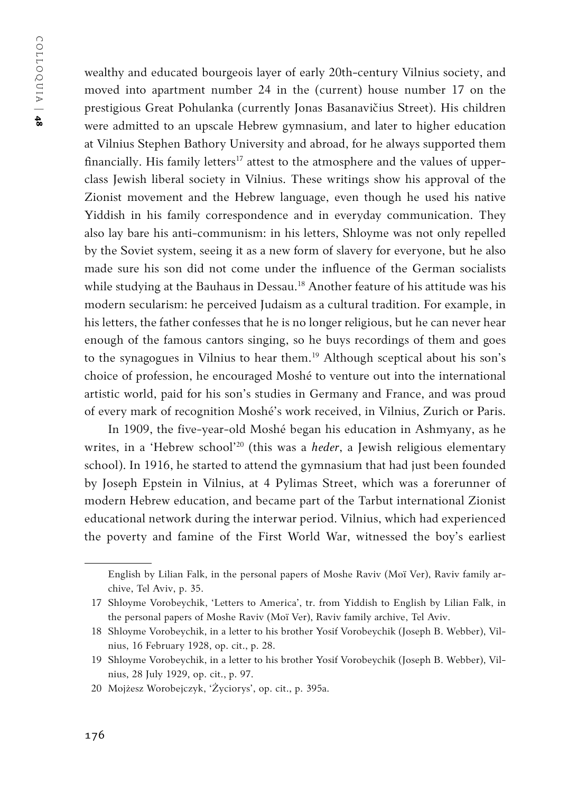wealthy and educated bourgeois layer of early 20th-century Vilnius society, and moved into apartment number 24 in the (current) house number 17 on the prestigious Great Pohulanka (currently Jonas Basanavičius Street). His children were admitted to an upscale Hebrew gymnasium, and later to higher education at Vilnius Stephen Bathory University and abroad, for he always supported them financially. His family letters<sup>17</sup> attest to the atmosphere and the values of upperclass Jewish liberal society in Vilnius. These writings show his approval of the Zionist movement and the Hebrew language, even though he used his native Yiddish in his family correspondence and in everyday communication. They also lay bare his anti-communism: in his letters, Shloyme was not only repelled by the Soviet system, seeing it as a new form of slavery for everyone, but he also made sure his son did not come under the influence of the German socialists while studying at the Bauhaus in Dessau.<sup>18</sup> Another feature of his attitude was his modern secularism: he perceived Judaism as a cultural tradition. For example, in his letters, the father confesses that he is no longer religious, but he can never hear enough of the famous cantors singing, so he buys recordings of them and goes to the synagogues in Vilnius to hear them.<sup>19</sup> Although sceptical about his son's choice of profession, he encouraged Moshé to venture out into the international artistic world, paid for his son's studies in Germany and France, and was proud of every mark of recognition Moshé's work received, in Vilnius, Zurich or Paris.

In 1909, the five-year-old Moshé began his education in Ashmyany, as he writes, in a 'Hebrew school'20 (this was a *heder*, a Jewish religious elementary school). In 1916, he started to attend the gymnasium that had just been founded by Joseph Epstein in Vilnius, at 4 Pylimas Street, which was a forerunner of modern Hebrew education, and became part of the Tarbut international Zionist educational network during the interwar period. Vilnius, which had experienced the poverty and famine of the First World War, witnessed the boy's earliest

English by Lilian Falk, in the personal papers of Moshe Raviv (Moï Ver), Raviv family archive, Tel Aviv, p. 35.

<sup>17</sup> Shloyme Vorobeychik, 'Letters to America', tr. from Yiddish to English by Lilian Falk, in the personal papers of Moshe Raviv (Moï Ver), Raviv family archive, Tel Aviv.

<sup>18</sup> Shloyme Vorobeychik, in a letter to his brother Yosif Vorobeychik (Joseph B. Webber), Vilnius, 16 February 1928, op. cit., p. 28.

<sup>19</sup> Shloyme Vorobeychik, in a letter to his brother Yosif Vorobeychik (Joseph B. Webber), Vilnius, 28 July 1929, op. cit., p. 97.

<sup>20</sup> Mojżesz Worobejczyk, 'Życiorys', op. cit., p. 395a.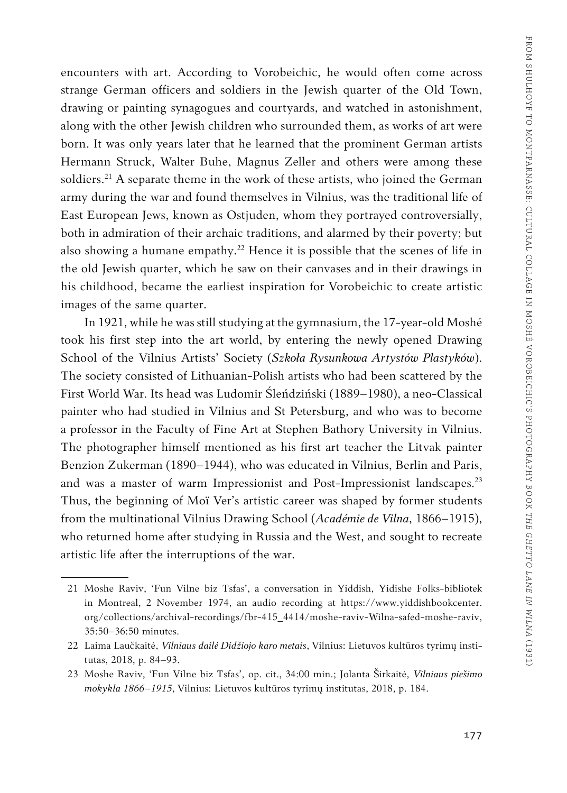encounters with art. According to Vorobeichic, he would often come across strange German officers and soldiers in the Jewish quarter of the Old Town, drawing or painting synagogues and courtyards, and watched in astonishment, along with the other Jewish children who surrounded them, as works of art were born. It was only years later that he learned that the prominent German artists Hermann Struck, Walter Buhe, Magnus Zeller and others were among these soldiers.<sup>21</sup> A separate theme in the work of these artists, who joined the German army during the war and found themselves in Vilnius, was the traditional life of East European Jews, known as Ostjuden, whom they portrayed controversially, both in admiration of their archaic traditions, and alarmed by their poverty; but also showing a humane empathy.<sup>22</sup> Hence it is possible that the scenes of life in the old Jewish quarter, which he saw on their canvases and in their drawings in his childhood, became the earliest inspiration for Vorobeichic to create artistic images of the same quarter.

In 1921, while he was still studying at the gymnasium, the 17-year-old Moshé took his first step into the art world, by entering the newly opened Drawing School of the Vilnius Artists' Society (*Szkoła Rysunkowa Artystów Plastyków*). The society consisted of Lithuanian-Polish artists who had been scattered by the First World War. Its head was Ludomir Śleńdziński (1889–1980), a neo-Classical painter who had studied in Vilnius and St Petersburg, and who was to become a professor in the Faculty of Fine Art at Stephen Bathory University in Vilnius. The photographer himself mentioned as his first art teacher the Litvak painter Benzion Zukerman (1890–1944), who was educated in Vilnius, Berlin and Paris, and was a master of warm Impressionist and Post-Impressionist landscapes.<sup>23</sup> Thus, the beginning of Moï Ver's artistic career was shaped by former students from the multinational Vilnius Drawing School (*Académie de Vilna*, 1866–1915), who returned home after studying in Russia and the West, and sought to recreate artistic life after the interruptions of the war.

<sup>21</sup> Moshe Raviv, 'Fun Vilne biz Tsfas', a conversation in Yiddish, Yidishe Folks-bibliotek in Montreal, 2 November 1974, an audio recording at https://www.yiddishbookcenter. org/collections/archival-recordings/fbr-415\_4414/moshe-raviv-Wilna-safed-moshe-raviv, 35:50–36:50 minutes.

<sup>22</sup> Laima Laučkaitė, *Vilniaus dailė Didžiojo karo metais*, Vilnius: Lietuvos kultūros tyrimų institutas, 2018, p. 84–93.

<sup>23</sup> Moshe Raviv, 'Fun Vilne biz Tsfas', op. cit., 34:00 min.; Jolanta Širkaitė, *Vilniaus piešimo mokykla 1866–1915*, Vilnius: Lietuvos kultūros tyrimų institutas, 2018, p. 184.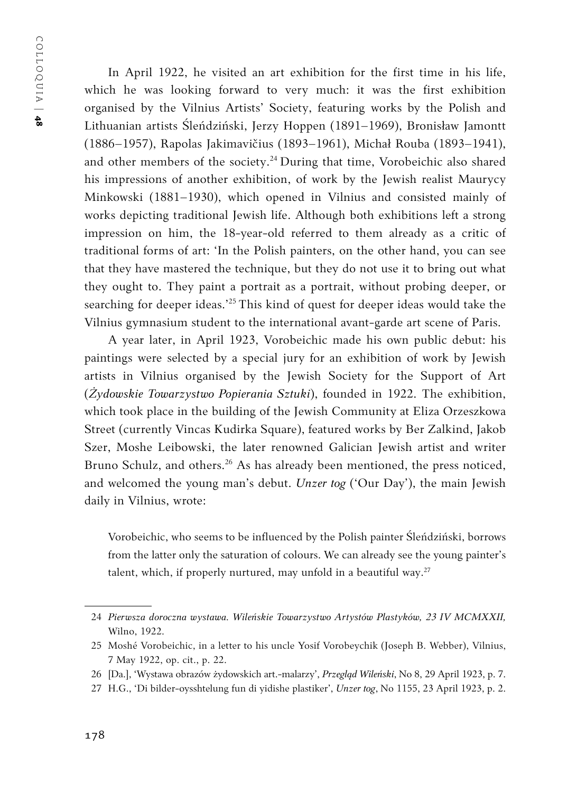COLLOQUIA | COLLOQUIA | 48

In April 1922, he visited an art exhibition for the first time in his life, which he was looking forward to very much: it was the first exhibition organised by the Vilnius Artists' Society, featuring works by the Polish and Lithuanian artists Śleńdziński, Jerzy Hoppen (1891–1969), Bronisław Jamontt (1886–1957), Rapolas Jakimavičius (1893–1961), Michał Rouba (1893–1941), and other members of the society.<sup>24</sup> During that time, Vorobeichic also shared his impressions of another exhibition, of work by the Jewish realist Maurycy Minkowski (1881–1930), which opened in Vilnius and consisted mainly of works depicting traditional Jewish life. Although both exhibitions left a strong impression on him, the 18-year-old referred to them already as a critic of traditional forms of art: 'In the Polish painters, on the other hand, you can see that they have mastered the technique, but they do not use it to bring out what they ought to. They paint a portrait as a portrait, without probing deeper, or searching for deeper ideas.'25 This kind of quest for deeper ideas would take the Vilnius gymnasium student to the international avant-garde art scene of Paris.

A year later, in April 1923, Vorobeichic made his own public debut: his paintings were selected by a special jury for an exhibition of work by Jewish artists in Vilnius organised by the Jewish Society for the Support of Art (*Żydowskie Towarzystwo Popierania Sztuki*), founded in 1922. The exhibition, which took place in the building of the Jewish Community at Eliza Orzeszkowa Street (currently Vincas Kudirka Square), featured works by Ber Zalkind, Jakob Szer, Moshe Leibowski, the later renowned Galician Jewish artist and writer Bruno Schulz, and others.<sup>26</sup> As has already been mentioned, the press noticed, and welcomed the young man's debut. *Unzer tog* ('Our Day'), the main Jewish daily in Vilnius, wrote:

Vorobeichic, who seems to be influenced by the Polish painter Śleńdziński, borrows from the latter only the saturation of colours. We can already see the young painter's talent, which, if properly nurtured, may unfold in a beautiful way. $27$ 

<sup>24</sup> *Pierwsza doroczna wystawa. Wileńskie Towarzystwo Artystów Plastyków, 23 IV MCMXXII,*  Wilno, 1922.

<sup>25</sup> Moshé Vorobeichic, in a letter to his uncle Yosif Vorobeychik (Joseph B. Webber), Vilnius, 7 May 1922, op. cit., p. 22.

<sup>26</sup> [Da.], 'Wystawa obrazów żydowskich art.-malarzy', *Przegląd Wileński*, No 8, 29 April 1923, p. 7.

<sup>27</sup> H.G., 'Di bilder-oysshtelung fun di yidishe plastiker', *Unzer tog*, No 1155, 23 April 1923, p. 2.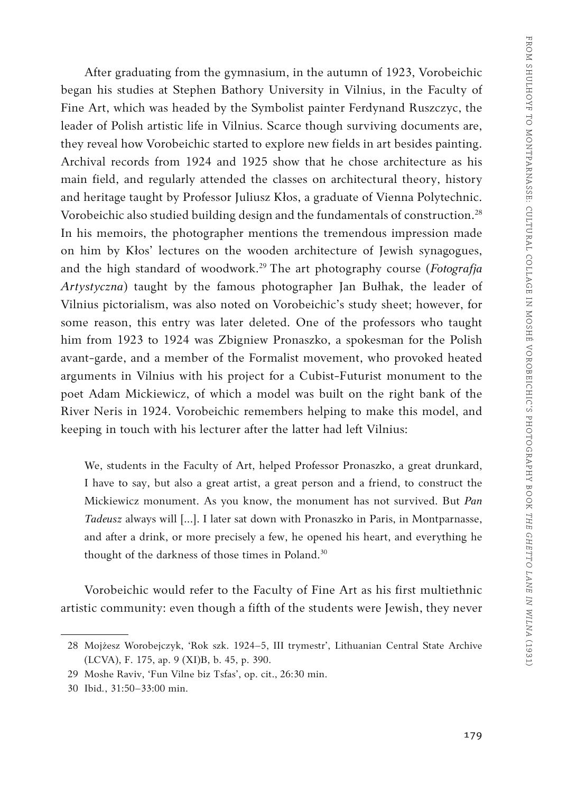After graduating from the gymnasium, in the autumn of 1923, Vorobeichic began his studies at Stephen Bathory University in Vilnius, in the Faculty of Fine Art, which was headed by the Symbolist painter Ferdynand Ruszczyc, the leader of Polish artistic life in Vilnius. Scarce though surviving documents are, they reveal how Vorobeichic started to explore new fields in art besides painting. Archival records from 1924 and 1925 show that he chose architecture as his main field, and regularly attended the classes on architectural theory, history and heritage taught by Professor Juliusz Kłos, a graduate of Vienna Polytechnic. Vorobeichic also studied building design and the fundamentals of construction.<sup>28</sup> In his memoirs, the photographer mentions the tremendous impression made on him by Kłos' lectures on the wooden architecture of Jewish synagogues, and the high standard of woodwork.29 The art photography course (*Fotografja Artystyczna*) taught by the famous photographer Jan Bułhak, the leader of Vilnius pictorialism, was also noted on Vorobeichic's study sheet; however, for some reason, this entry was later deleted. One of the professors who taught him from 1923 to 1924 was Zbigniew Pronaszko, a spokesman for the Polish avant-garde, and a member of the Formalist movement, who provoked heated arguments in Vilnius with his project for a Cubist-Futurist monument to the poet Adam Mickiewicz, of which a model was built on the right bank of the River Neris in 1924. Vorobeichic remembers helping to make this model, and keeping in touch with his lecturer after the latter had left Vilnius:

We, students in the Faculty of Art, helped Professor Pronaszko, a great drunkard, I have to say, but also a great artist, a great person and a friend, to construct the Mickiewicz monument. As you know, the monument has not survived. But *Pan Tadeusz* always will [...]. I later sat down with Pronaszko in Paris, in Montparnasse, and after a drink, or more precisely a few, he opened his heart, and everything he thought of the darkness of those times in Poland.<sup>30</sup>

Vorobeichic would refer to the Faculty of Fine Art as his first multiethnic artistic community: even though a fifth of the students were Jewish, they never

<sup>28</sup> Mojżesz Worobejczyk, 'Rok szk. 1924–5, III trymestr', Lithuanian Central State Archive (LCVA), F. 175, ap. 9 (XI)B, b. 45, p. 390.

<sup>29</sup> Moshe Raviv, 'Fun Vilne biz Tsfas', op. cit., 26:30 min.

<sup>30</sup> Ibid*.*, 31:50–33:00 min.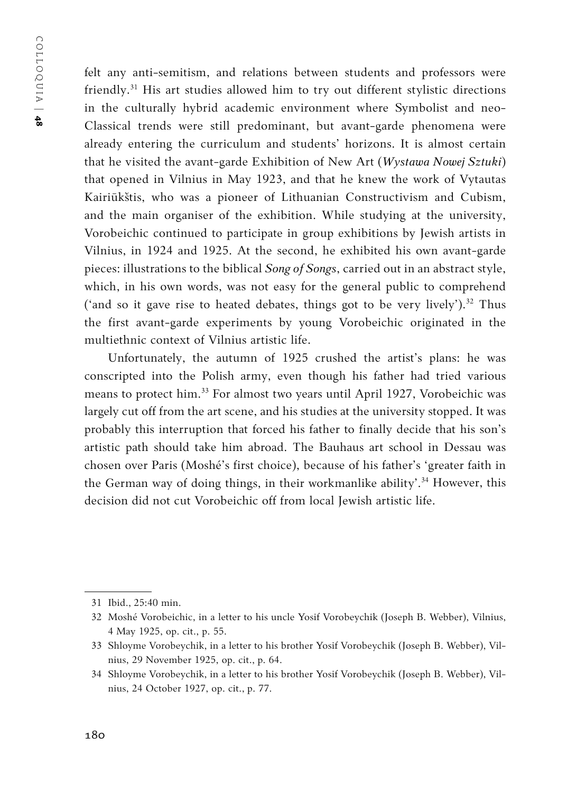felt any anti-semitism, and relations between students and professors were friendly.31 His art studies allowed him to try out different stylistic directions in the culturally hybrid academic environment where Symbolist and neo-Classical trends were still predominant, but avant-garde phenomena were already entering the curriculum and students' horizons. It is almost certain that he visited the avant-garde Exhibition of New Art (*Wystawa Nowej Sztuki*) that opened in Vilnius in May 1923, and that he knew the work of Vytautas Kairiūkštis, who was a pioneer of Lithuanian Constructivism and Cubism, and the main organiser of the exhibition. While studying at the university, Vorobeichic continued to participate in group exhibitions by Jewish artists in Vilnius, in 1924 and 1925. At the second, he exhibited his own avant-garde pieces: illustrations to the biblical *Song of Songs*, carried out in an abstract style, which, in his own words, was not easy for the general public to comprehend ('and so it gave rise to heated debates, things got to be very lively').<sup>32</sup> Thus the first avant-garde experiments by young Vorobeichic originated in the multiethnic context of Vilnius artistic life.

Unfortunately, the autumn of 1925 crushed the artist's plans: he was conscripted into the Polish army, even though his father had tried various means to protect him.33 For almost two years until April 1927, Vorobeichic was largely cut off from the art scene, and his studies at the university stopped. It was probably this interruption that forced his father to finally decide that his son's artistic path should take him abroad. The Bauhaus art school in Dessau was chosen over Paris (Moshé's first choice), because of his father's 'greater faith in the German way of doing things, in their workmanlike ability'.<sup>34</sup> However, this decision did not cut Vorobeichic off from local Jewish artistic life.

<sup>31</sup> Ibid., 25:40 min.

<sup>32</sup> Moshé Vorobeichic, in a letter to his uncle Yosif Vorobeychik (Joseph B. Webber), Vilnius, 4 May 1925, op. cit., p. 55.

<sup>33</sup> Shloyme Vorobeychik, in a letter to his brother Yosif Vorobeychik (Joseph B. Webber), Vilnius, 29 November 1925, op. cit., p. 64.

<sup>34</sup> Shloyme Vorobeychik, in a letter to his brother Yosif Vorobeychik (Joseph B. Webber), Vilnius, 24 October 1927, op. cit., p. 77.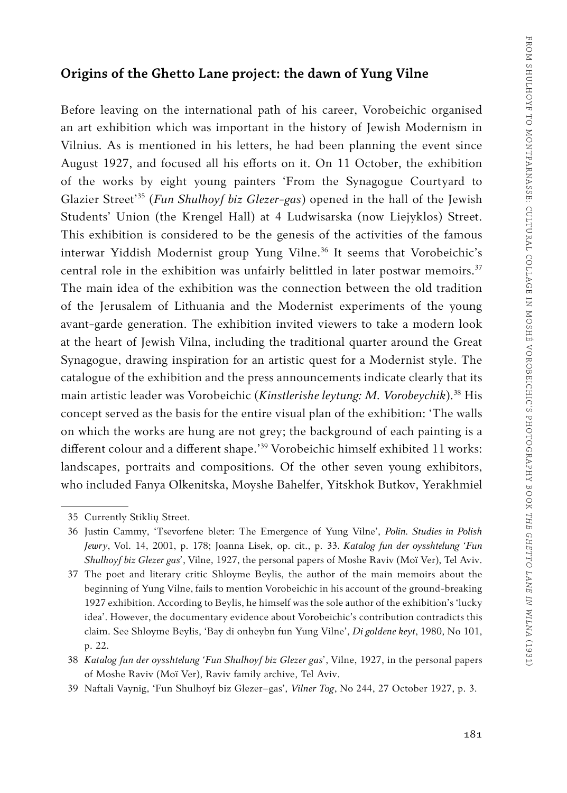#### **Origins of the Ghetto Lane project: the dawn of Yung Vilne**

Before leaving on the international path of his career, Vorobeichic organised an art exhibition which was important in the history of Jewish Modernism in Vilnius. As is mentioned in his letters, he had been planning the event since August 1927, and focused all his efforts on it. On 11 October, the exhibition of the works by eight young painters 'From the Synagogue Courtyard to Glazier Street'35 (*Fun Shulhoyf biz Glezer-gas*) opened in the hall of the Jewish Students' Union (the Krengel Hall) at 4 Ludwisarska (now Liejyklos) Street. This exhibition is considered to be the genesis of the activities of the famous interwar Yiddish Modernist group Yung Vilne.<sup>36</sup> It seems that Vorobeichic's central role in the exhibition was unfairly belittled in later postwar memoirs. $37$ The main idea of the exhibition was the connection between the old tradition of the Jerusalem of Lithuania and the Modernist experiments of the young avant-garde generation. The exhibition invited viewers to take a modern look at the heart of Jewish Vilna, including the traditional quarter around the Great Synagogue, drawing inspiration for an artistic quest for a Modernist style. The catalogue of the exhibition and the press announcements indicate clearly that its main artistic leader was Vorobeichic (*Kinstlerishe leytung: M. Vorobeychik*).38 His concept served as the basis for the entire visual plan of the exhibition: 'The walls on which the works are hung are not grey; the background of each painting is a different colour and a different shape.'39 Vorobeichic himself exhibited 11 works: landscapes, portraits and compositions. Of the other seven young exhibitors, who included Fanya Olkenitska, Moyshe Bahelfer, Yitskhok Butkov, Yerakhmiel

<sup>35</sup> Currently Stiklių Street.

<sup>36</sup> Justin Cammy, 'Tsevorfene bleter: The Emergence of Yung Vilne', *Polin. Studies in Polish Jewry*, Vol. 14, 2001, p. 178; Joanna Lisek, op. cit., p. 33. *Katalog fun der oysshtelung 'Fun Shulhoyf biz Glezer gas'*, Vilne, 1927, the personal papers of Moshe Raviv (Moï Ver), Tel Aviv.

<sup>37</sup> The poet and literary critic Shloyme Beylis, the author of the main memoirs about the beginning of Yung Vilne, fails to mention Vorobeichic in his account of the ground-breaking 1927 exhibition. According to Beylis, he himself was the sole author of the exhibition's 'lucky idea'. However, the documentary evidence about Vorobeichic's contribution contradicts this claim. See Shloyme Beylis, 'Bay di onheybn fun Yung Vilne', *Di goldene keyt*, 1980, No 101, p. 22.

<sup>38</sup> *Katalog fun der oysshtelung 'Fun Shulhoyf biz Glezer gas'*, Vilne, 1927, in the personal papers of Moshe Raviv (Moï Ver), Raviv family archive, Tel Aviv.

<sup>39</sup> Naftali Vaynig, 'Fun Shulhoyf biz Glezer–gas', *Vilner Tog*, No 244, 27 October 1927, p. 3.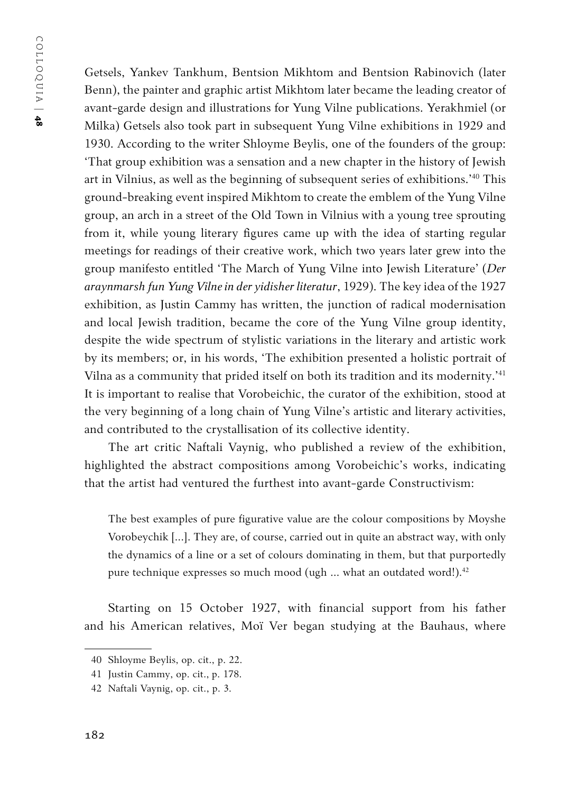Getsels, Yankev Tankhum, Bentsion Mikhtom and Bentsion Rabinovich (later Benn), the painter and graphic artist Mikhtom later became the leading creator of avant-garde design and illustrations for Yung Vilne publications. Yerakhmiel (or Milka) Getsels also took part in subsequent Yung Vilne exhibitions in 1929 and 1930. According to the writer Shloyme Beylis, one of the founders of the group: 'That group exhibition was a sensation and a new chapter in the history of Jewish art in Vilnius, as well as the beginning of subsequent series of exhibitions.'40 This ground-breaking event inspired Mikhtom to create the emblem of the Yung Vilne group, an arch in a street of the Old Town in Vilnius with a young tree sprouting from it, while young literary figures came up with the idea of starting regular meetings for readings of their creative work, which two years later grew into the group manifesto entitled 'The March of Yung Vilne into Jewish Literature' (*Der araynmarsh fun Yung Vilne in der yidisher literatur*, 1929). The key idea of the 1927 exhibition, as Justin Cammy has written, the junction of radical modernisation and local Jewish tradition, became the core of the Yung Vilne group identity, despite the wide spectrum of stylistic variations in the literary and artistic work by its members; or, in his words, 'The exhibition presented a holistic portrait of Vilna as a community that prided itself on both its tradition and its modernity.'41 It is important to realise that Vorobeichic, the curator of the exhibition, stood at the very beginning of a long chain of Yung Vilne's artistic and literary activities, and contributed to the crystallisation of its collective identity.

The art critic Naftali Vaynig, who published a review of the exhibition, highlighted the abstract compositions among Vorobeichic's works, indicating that the artist had ventured the furthest into avant-garde Constructivism:

The best examples of pure figurative value are the colour compositions by Moyshe Vorobeychik [...]. They are, of course, carried out in quite an abstract way, with only the dynamics of a line or a set of colours dominating in them, but that purportedly pure technique expresses so much mood (ugh  $\ldots$  what an outdated word!).<sup>42</sup>

Starting on 15 October 1927, with financial support from his father and his American relatives, Moï Ver began studying at the Bauhaus, where

<sup>40</sup> Shloyme Beylis, op. cit., p. 22.

<sup>41</sup> Justin Cammy, op. cit., p. 178.

<sup>42</sup> Naftali Vaynig, op. cit., p. 3.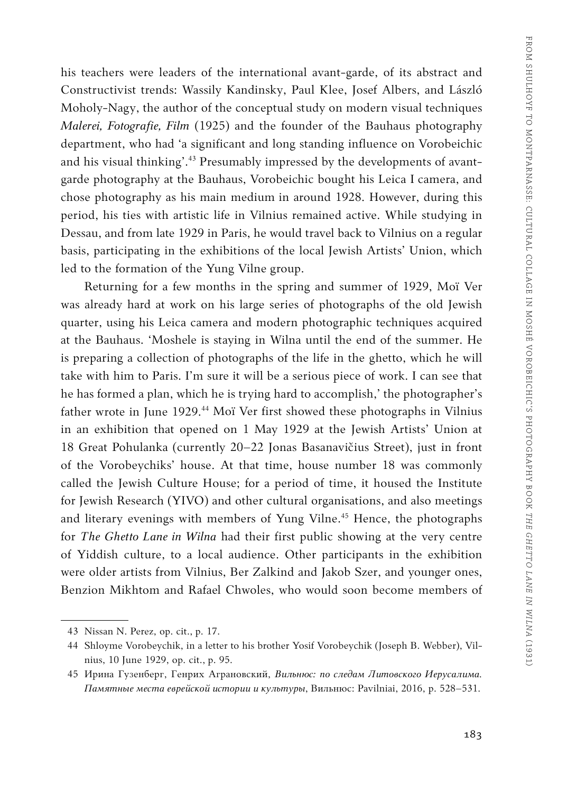his teachers were leaders of the international avant-garde, of its abstract and Constructivist trends: Wassily Kandinsky, Paul Klee, Josef Albers, and László Moholy-Nagy, the author of the conceptual study on modern visual techniques *Malerei, Fotografie, Film* (1925) and the founder of the Bauhaus photography department, who had 'a significant and long standing influence on Vorobeichic and his visual thinking'.<sup>43</sup> Presumably impressed by the developments of avantgarde photography at the Bauhaus, Vorobeichic bought his Leica I camera, and chose photography as his main medium in around 1928. However, during this period, his ties with artistic life in Vilnius remained active. While studying in Dessau, and from late 1929 in Paris, he would travel back to Vilnius on a regular basis, participating in the exhibitions of the local Jewish Artists' Union, which led to the formation of the Yung Vilne group.

Returning for a few months in the spring and summer of 1929, Moï Ver was already hard at work on his large series of photographs of the old Jewish quarter, using his Leica camera and modern photographic techniques acquired at the Bauhaus. 'Moshele is staying in Wilna until the end of the summer. He is preparing a collection of photographs of the life in the ghetto, which he will take with him to Paris. I'm sure it will be a serious piece of work. I can see that he has formed a plan, which he is trying hard to accomplish,' the photographer's father wrote in June 1929.<sup>44</sup> Moï Ver first showed these photographs in Vilnius in an exhibition that opened on 1 May 1929 at the Jewish Artists' Union at 18 Great Pohulanka (currently 20–22 Jonas Basanavičius Street), just in front of the Vorobeychiks' house. At that time, house number 18 was commonly called the Jewish Culture House; for a period of time, it housed the Institute for Jewish Research (YIVO) and other cultural organisations, and also meetings and literary evenings with members of Yung Vilne.<sup>45</sup> Hence, the photographs for *The Ghetto Lane in Wilna* had their first public showing at the very centre of Yiddish culture, to a local audience. Other participants in the exhibition were older artists from Vilnius, Ber Zalkind and Jakob Szer, and younger ones, Benzion Mikhtom and Rafael Chwoles, who would soon become members of

<sup>43</sup> Nissan N. Perez, op. cit., p. 17.

<sup>44</sup> Shloyme Vorobeychik, in a letter to his brother Yosif Vorobeychik (Joseph B. Webber), Vilnius, 10 June 1929, op. cit., p. 95.

<sup>45</sup> Ирина Гузенберг, Генрих Аграновский, *Вильнюс: по следам Литовского Иерусалима. Памятные места еврейской истории и культуры*, Вильнюс: Pavilniai, 2016, p. 528–531.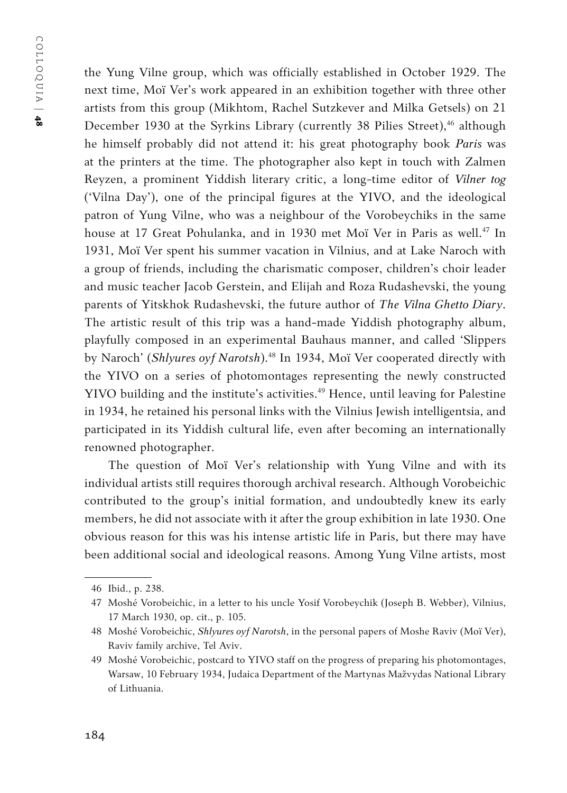the Yung Vilne group, which was officially established in October 1929. The next time, Moï Ver's work appeared in an exhibition together with three other artists from this group (Mikhtom, Rachel Sutzkever and Milka Getsels) on 21 December 1930 at the Syrkins Library (currently 38 Pilies Street),<sup>46</sup> although he himself probably did not attend it: his great photography book *Paris* was at the printers at the time. The photographer also kept in touch with Zalmen Reyzen, a prominent Yiddish literary critic, a long-time editor of *Vilner tog*  ('Vilna Day'), one of the principal figures at the YIVO, and the ideological patron of Yung Vilne, who was a neighbour of the Vorobeychiks in the same house at 17 Great Pohulanka, and in 1930 met Moï Ver in Paris as well.<sup>47</sup> In 1931, Moï Ver spent his summer vacation in Vilnius, and at Lake Naroch with a group of friends, including the charismatic composer, children's choir leader and music teacher Jacob Gerstein, and Elijah and Roza Rudashevski, the young parents of Yitskhok Rudashevski, the future author of *The Vilna Ghetto Diary*. The artistic result of this trip was a hand-made Yiddish photography album, playfully composed in an experimental Bauhaus manner, and called 'Slippers by Naroch' (*Shlyures oyf Narotsh*).48 In 1934, Moï Ver cooperated directly with the YIVO on a series of photomontages representing the newly constructed YIVO building and the institute's activities.<sup>49</sup> Hence, until leaving for Palestine in 1934, he retained his personal links with the Vilnius Jewish intelligentsia, and participated in its Yiddish cultural life, even after becoming an internationally renowned photographer.

The question of Moï Ver's relationship with Yung Vilne and with its individual artists still requires thorough archival research. Although Vorobeichic contributed to the group's initial formation, and undoubtedly knew its early members, he did not associate with it after the group exhibition in late 1930. One obvious reason for this was his intense artistic life in Paris, but there may have been additional social and ideological reasons. Among Yung Vilne artists, most

<sup>46</sup> Ibid., p. 238.

<sup>47</sup> Moshé Vorobeichic, in a letter to his uncle Yosif Vorobeychik (Joseph B. Webber), Vilnius, 17 March 1930, op. cit., p. 105.

<sup>48</sup> Moshé Vorobeichic, *Shlyures oyf Narotsh*, in the personal papers of Moshe Raviv (Moï Ver), Raviv family archive, Tel Aviv.

<sup>49</sup> Moshé Vorobeichic, postcard to YIVO staff on the progress of preparing his photomontages, Warsaw, 10 February 1934, Judaica Department of the Martynas Mažvydas National Library of Lithuania.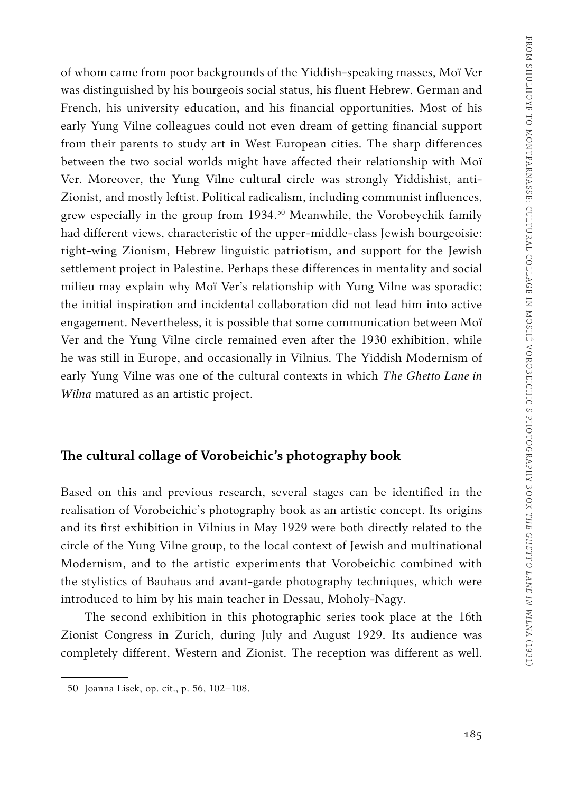of whom came from poor backgrounds of the Yiddish-speaking masses, Moï Ver was distinguished by his bourgeois social status, his fluent Hebrew, German and French, his university education, and his financial opportunities. Most of his early Yung Vilne colleagues could not even dream of getting financial support from their parents to study art in West European cities. The sharp differences between the two social worlds might have affected their relationship with Moï Ver. Moreover, the Yung Vilne cultural circle was strongly Yiddishist, anti-Zionist, and mostly leftist. Political radicalism, including communist influences, grew especially in the group from 1934.<sup>50</sup> Meanwhile, the Vorobeychik family had different views, characteristic of the upper-middle-class Jewish bourgeoisie: right-wing Zionism, Hebrew linguistic patriotism, and support for the Jewish settlement project in Palestine. Perhaps these differences in mentality and social milieu may explain why Moï Ver's relationship with Yung Vilne was sporadic: the initial inspiration and incidental collaboration did not lead him into active engagement. Nevertheless, it is possible that some communication between Moï Ver and the Yung Vilne circle remained even after the 1930 exhibition, while he was still in Europe, and occasionally in Vilnius. The Yiddish Modernism of early Yung Vilne was one of the cultural contexts in which *The Ghetto Lane in Wilna* matured as an artistic project.

#### **The cultural collage of Vorobeichic's photography book**

Based on this and previous research, several stages can be identified in the realisation of Vorobeichic's photography book as an artistic concept. Its origins and its first exhibition in Vilnius in May 1929 were both directly related to the circle of the Yung Vilne group, to the local context of Jewish and multinational Modernism, and to the artistic experiments that Vorobeichic combined with the stylistics of Bauhaus and avant-garde photography techniques, which were introduced to him by his main teacher in Dessau, Moholy-Nagy.

The second exhibition in this photographic series took place at the 16th Zionist Congress in Zurich, during July and August 1929. Its audience was completely different, Western and Zionist. The reception was different as well.

<sup>50</sup> Joanna Lisek, op. cit., p. 56, 102–108.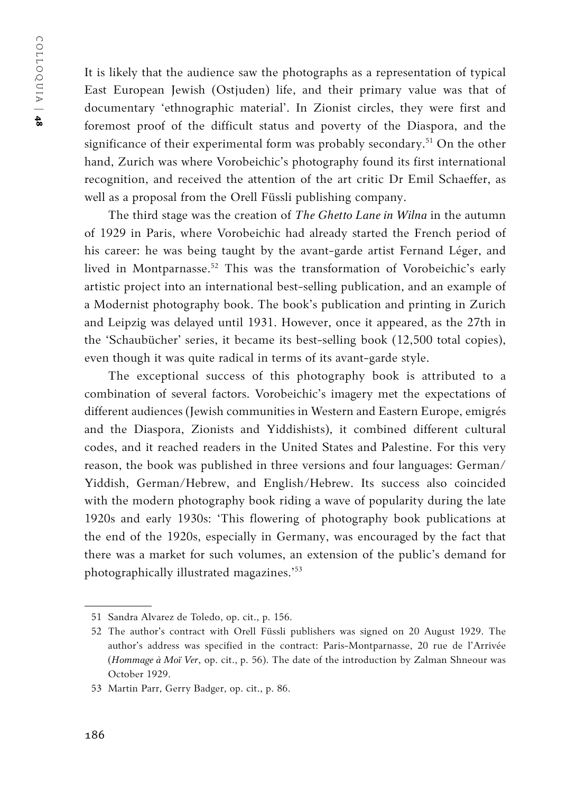COLLOQUIA | COLLOQUIA | 48

It is likely that the audience saw the photographs as a representation of typical East European Jewish (Ostjuden) life, and their primary value was that of documentary 'ethnographic material'. In Zionist circles, they were first and foremost proof of the difficult status and poverty of the Diaspora, and the significance of their experimental form was probably secondary.<sup>51</sup> On the other hand, Zurich was where Vorobeichic's photography found its first international recognition, and received the attention of the art critic Dr Emil Schaeffer, as well as a proposal from the Orell Füssli publishing company.

The third stage was the creation of *The Ghetto Lane in Wilna* in the autumn of 1929 in Paris, where Vorobeichic had already started the French period of his career: he was being taught by the avant-garde artist Fernand Léger, and lived in Montparnasse.<sup>52</sup> This was the transformation of Vorobeichic's early artistic project into an international best-selling publication, and an example of a Modernist photography book. The book's publication and printing in Zurich and Leipzig was delayed until 1931. However, once it appeared, as the 27th in the 'Schaubücher' series, it became its best-selling book (12,500 total copies), even though it was quite radical in terms of its avant-garde style.

The exceptional success of this photography book is attributed to a combination of several factors. Vorobeichic's imagery met the expectations of different audiences (Jewish communities in Western and Eastern Europe, emigrés and the Diaspora, Zionists and Yiddishists), it combined different cultural codes, and it reached readers in the United States and Palestine. For this very reason, the book was published in three versions and four languages: German/ Yiddish, German/Hebrew, and English/Hebrew. Its success also coincided with the modern photography book riding a wave of popularity during the late 1920s and early 1930s: 'This flowering of photography book publications at the end of the 1920s, especially in Germany, was encouraged by the fact that there was a market for such volumes, an extension of the public's demand for photographically illustrated magazines.'53

<sup>51</sup> Sandra Alvarez de Toledo, op. cit., p. 156.

<sup>52</sup> The author's contract with Orell Füssli publishers was signed on 20 August 1929. The author's address was specified in the contract: Paris-Montparnasse, 20 rue de l'Arrivée (*Hommage à Moï Ver*, op. cit., p. 56). The date of the introduction by Zalman Shneour was October 1929.

<sup>53</sup> Martin Parr, Gerry Badger, op. cit., p. 86.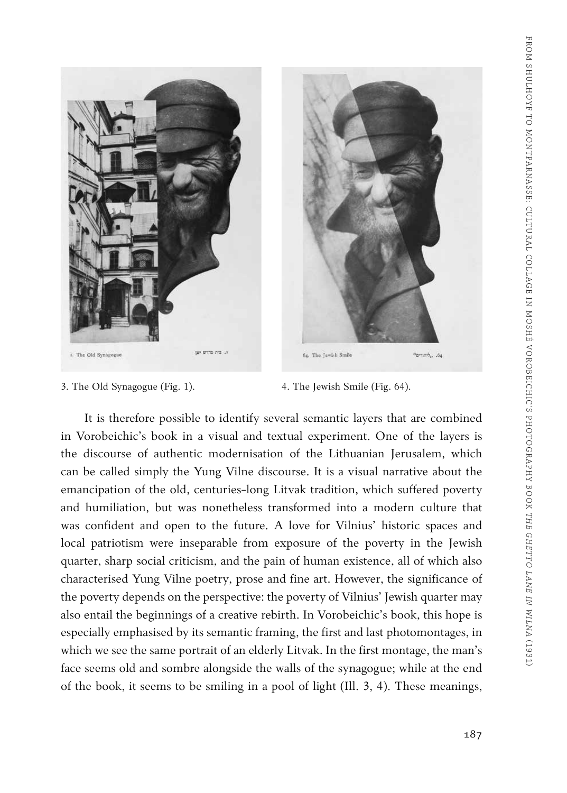

- 3. The Old Synagogue (Fig. 1). 4. The Jewish Smile (Fig. 64).
	-

"print", .64

It is therefore possible to identify several semantic layers that are combined in Vorobeichic's book in a visual and textual experiment. One of the layers is the discourse of authentic modernisation of the Lithuanian Jerusalem, which can be called simply the Yung Vilne discourse. It is a visual narrative about the emancipation of the old, centuries-long Litvak tradition, which suffered poverty and humiliation, but was nonetheless transformed into a modern culture that was confident and open to the future. A love for Vilnius' historic spaces and local patriotism were inseparable from exposure of the poverty in the Jewish quarter, sharp social criticism, and the pain of human existence, all of which also characterised Yung Vilne poetry, prose and fine art. However, the significance of the poverty depends on the perspective: the poverty of Vilnius' Jewish quarter may also entail the beginnings of a creative rebirth. In Vorobeichic's book, this hope is especially emphasised by its semantic framing, the first and last photomontages, in which we see the same portrait of an elderly Litvak. In the first montage, the man's face seems old and sombre alongside the walls of the synagogue; while at the end of the book, it seems to be smiling in a pool of light (Ill. 3, 4). These meanings,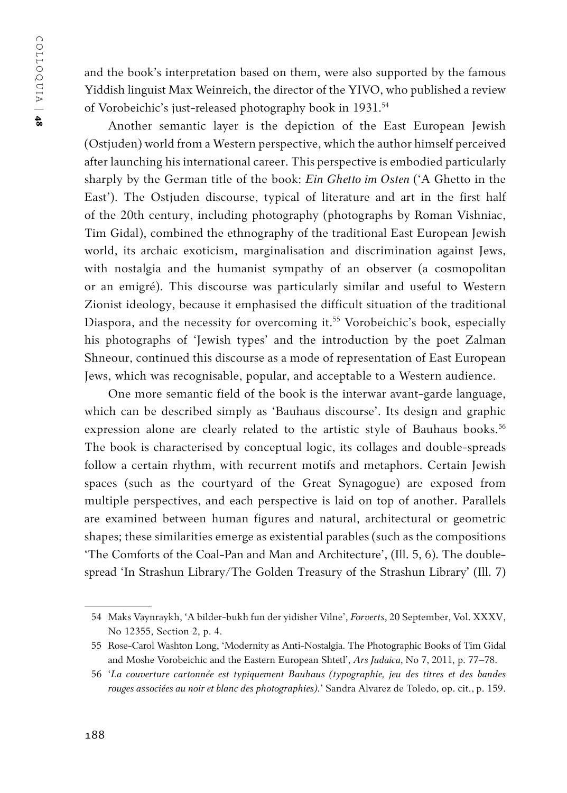and the book's interpretation based on them, were also supported by the famous Yiddish linguist Max Weinreich, the director of the YIVO, who published a review of Vorobeichic's just-released photography book in 1931.<sup>54</sup>

Another semantic layer is the depiction of the East European Jewish (Ostjuden) world from a Western perspective, which the author himself perceived after launching his international career. This perspective is embodied particularly sharply by the German title of the book: *Ein Ghetto im Osten* ('A Ghetto in the East'). The Ostjuden discourse, typical of literature and art in the first half of the 20th century, including photography (photographs by Roman Vishniac, Tim Gidal), combined the ethnography of the traditional East European Jewish world, its archaic exoticism, marginalisation and discrimination against Jews, with nostalgia and the humanist sympathy of an observer (a cosmopolitan or an emigré). This discourse was particularly similar and useful to Western Zionist ideology, because it emphasised the difficult situation of the traditional Diaspora, and the necessity for overcoming it.<sup>55</sup> Vorobeichic's book, especially his photographs of 'Jewish types' and the introduction by the poet Zalman Shneour, continued this discourse as a mode of representation of East European Jews, which was recognisable, popular, and acceptable to a Western audience.

One more semantic field of the book is the interwar avant-garde language, which can be described simply as 'Bauhaus discourse'. Its design and graphic expression alone are clearly related to the artistic style of Bauhaus books.<sup>56</sup> The book is characterised by conceptual logic, its collages and double-spreads follow a certain rhythm, with recurrent motifs and metaphors. Certain Jewish spaces (such as the courtyard of the Great Synagogue) are exposed from multiple perspectives, and each perspective is laid on top of another. Parallels are examined between human figures and natural, architectural or geometric shapes; these similarities emerge as existential parables (such as the compositions 'The Comforts of the Coal-Pan and Man and Architecture', (Ill. 5, 6). The doublespread 'In Strashun Library/The Golden Treasury of the Strashun Library' (Ill. 7)

<sup>54</sup> Maks Vaynraykh, 'A bilder-bukh fun der yidisher Vilne', *Forverts*, 20 September, Vol. XXXV, No 12355, Section 2, p. 4.

<sup>55</sup> Rose-Carol Washton Long, 'Modernity as Anti-Nostalgia. The Photographic Books of Tim Gidal and Moshe Vorobeichic and the Eastern European Shtetl', *Ars Judaica*, No 7, 2011, p. 77–78.

<sup>56</sup> '*La couverture cartonnée est typiquement Bauhaus (typographie, jeu des titres et des bandes rouges associées au noir et blanc des photographies).*' Sandra Alvarez de Toledo, op. cit., p. 159.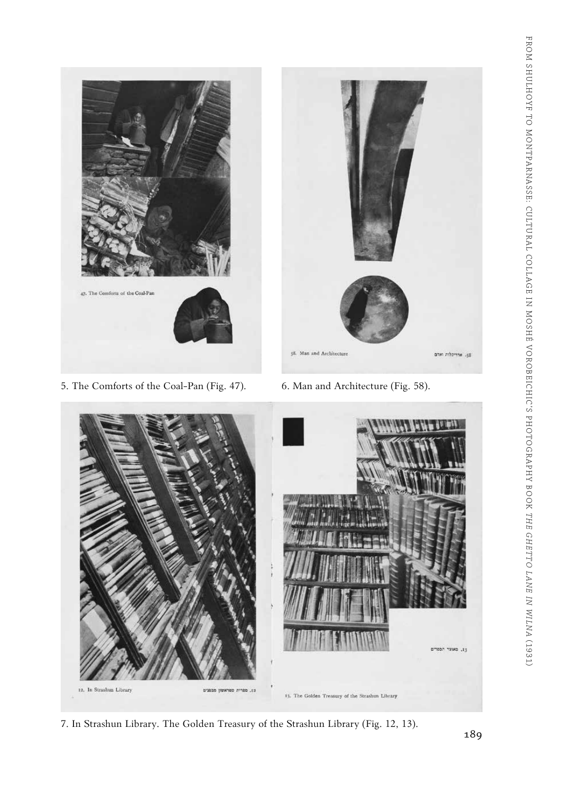

- 5. The Comforts of the Coal-Pan (Fig. 47). 6. Man and Architecture (Fig. 58).
	-



7. In Strashun Library. The Golden Treasury of the Strashun Library (Fig. 12, 13).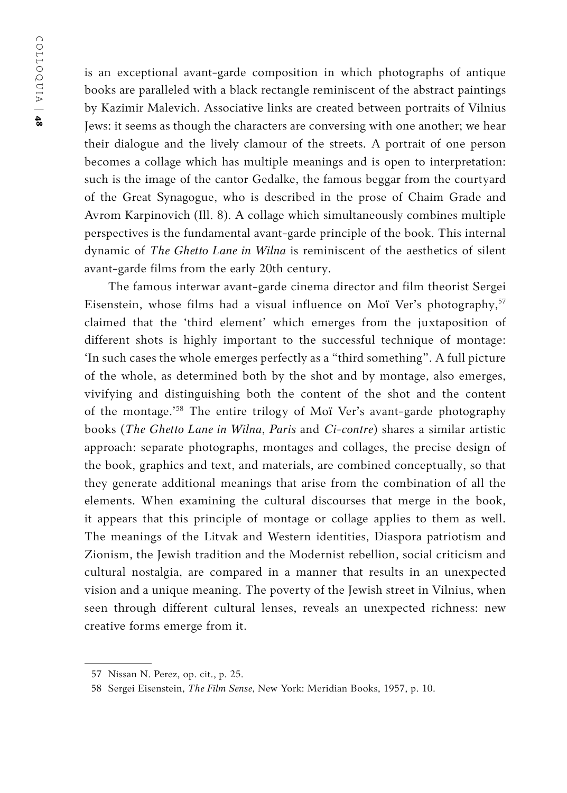is an exceptional avant-garde composition in which photographs of antique books are paralleled with a black rectangle reminiscent of the abstract paintings by Kazimir Malevich. Associative links are created between portraits of Vilnius Jews: it seems as though the characters are conversing with one another; we hear their dialogue and the lively clamour of the streets. A portrait of one person becomes a collage which has multiple meanings and is open to interpretation: such is the image of the cantor Gedalke, the famous beggar from the courtyard of the Great Synagogue, who is described in the prose of Chaim Grade and Avrom Karpinovich (Ill. 8). A collage which simultaneously combines multiple perspectives is the fundamental avant-garde principle of the book. This internal dynamic of *The Ghetto Lane in Wilna* is reminiscent of the aesthetics of silent avant-garde films from the early 20th century.

The famous interwar avant-garde cinema director and film theorist Sergei Eisenstein, whose films had a visual influence on Moï Ver's photography,<sup>57</sup> claimed that the 'third element' which emerges from the juxtaposition of different shots is highly important to the successful technique of montage: 'In such cases the whole emerges perfectly as a "third something". A full picture of the whole, as determined both by the shot and by montage, also emerges, vivifying and distinguishing both the content of the shot and the content of the montage.'58 The entire trilogy of Moï Ver's avant-garde photography books (*The Ghetto Lane in Wilna*, *Paris* and *Ci-contre*) shares a similar artistic approach: separate photographs, montages and collages, the precise design of the book, graphics and text, and materials, are combined conceptually, so that they generate additional meanings that arise from the combination of all the elements. When examining the cultural discourses that merge in the book, it appears that this principle of montage or collage applies to them as well. The meanings of the Litvak and Western identities, Diaspora patriotism and Zionism, the Jewish tradition and the Modernist rebellion, social criticism and cultural nostalgia, are compared in a manner that results in an unexpected vision and a unique meaning. The poverty of the Jewish street in Vilnius, when seen through different cultural lenses, reveals an unexpected richness: new creative forms emerge from it.

<sup>57</sup> Nissan N. Perez, op. cit., p. 25.

<sup>58</sup> Sergei Eisenstein, *The Film Sense*, New York: Meridian Books, 1957, p. 10.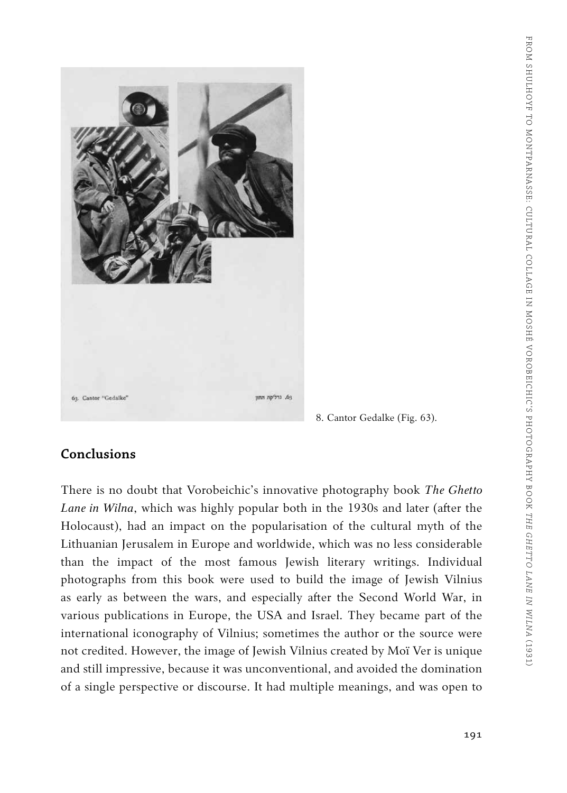

8. Cantor Gedalke (Fig. 63).

#### **Conclusions**

There is no doubt that Vorobeichic's innovative photography book *The Ghetto Lane in Wilna*, which was highly popular both in the 1930s and later (after the Holocaust), had an impact on the popularisation of the cultural myth of the Lithuanian Jerusalem in Europe and worldwide, which was no less considerable than the impact of the most famous Jewish literary writings. Individual photographs from this book were used to build the image of Jewish Vilnius as early as between the wars, and especially after the Second World War, in various publications in Europe, the USA and Israel. They became part of the international iconography of Vilnius; sometimes the author or the source were not credited. However, the image of Jewish Vilnius created by Moï Ver is unique and still impressive, because it was unconventional, and avoided the domination of a single perspective or discourse. It had multiple meanings, and was open to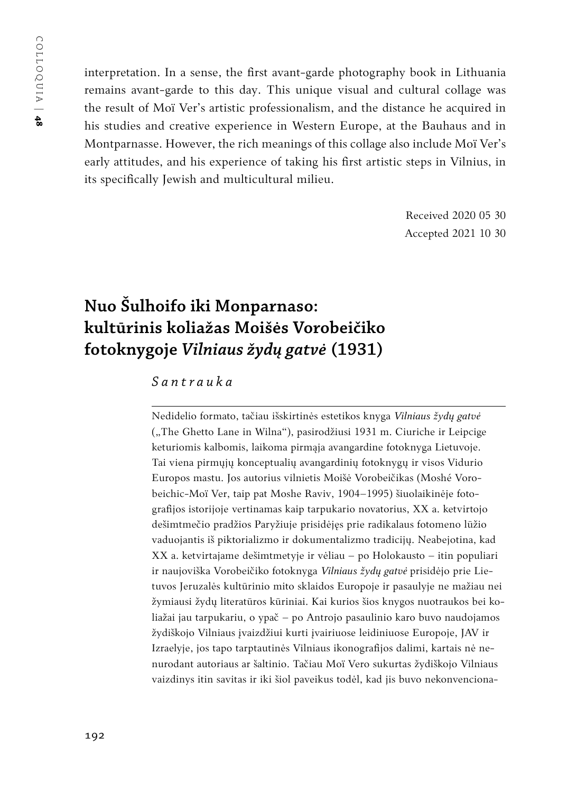interpretation. In a sense, the first avant-garde photography book in Lithuania remains avant-garde to this day. This unique visual and cultural collage was the result of Moï Ver's artistic professionalism, and the distance he acquired in his studies and creative experience in Western Europe, at the Bauhaus and in Montparnasse. However, the rich meanings of this collage also include Moï Ver's early attitudes, and his experience of taking his first artistic steps in Vilnius, in its specifically Jewish and multicultural milieu.

> Received 2020 05 30 Accepted 2021 10 30

## **Nuo Šulhoifo iki Monparnaso: kultūrinis koliažas Moišės Vorobeičiko fotoknygoje** *Vilniaus žydų gatvė* **(1931)**

#### *Santrauka*

Nedidelio formato, tačiau išskirtinės estetikos knyga *Vilniaus žydų gatvė*  ("The Ghetto Lane in Wilna"), pasirodžiusi 1931 m. Ciuriche ir Leipcige keturiomis kalbomis, laikoma pirmąja avangardine fotoknyga Lietuvoje. Tai viena pirmųjų konceptualių avangardinių fotoknygų ir visos Vidurio Europos mastu. Jos autorius vilnietis Moišė Vorobeičikas (Moshé Vorobeichic-Moï Ver, taip pat Moshe Raviv, 1904–1995) šiuolaikinėje fotografijos istorijoje vertinamas kaip tarpukario novatorius, XX a. ketvirtojo dešimtmečio pradžios Paryžiuje prisidėjęs prie radikalaus fotomeno lūžio vaduojantis iš piktorializmo ir dokumentalizmo tradicijų. Neabejotina, kad XX a. ketvirtajame dešimtmetyje ir vėliau – po Holokausto – itin populiari ir naujoviška Vorobeičiko fotoknyga *Vilniaus žydų gatvė* prisidėjo prie Lietuvos Jeruzalės kultūrinio mito sklaidos Europoje ir pasaulyje ne mažiau nei žymiausi žydų literatūros kūriniai. Kai kurios šios knygos nuotraukos bei koliažai jau tarpukariu, o ypač – po Antrojo pasaulinio karo buvo naudojamos žydiškojo Vilniaus įvaizdžiui kurti įvairiuose leidiniuose Europoje, JAV ir Izraelyje, jos tapo tarptautinės Vilniaus ikonografijos dalimi, kartais nė nenurodant autoriaus ar šaltinio. Tačiau Moï Vero sukurtas žydiškojo Vilniaus vaizdinys itin savitas ir iki šiol paveikus todėl, kad jis buvo nekonvenciona